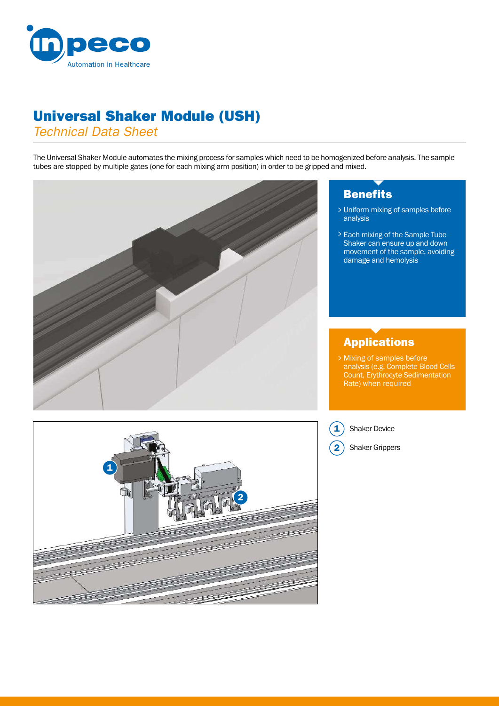

# Universal Shaker Module (USH)

*Technical Data Sheet*

The Universal Shaker Module automates the mixing process for samples which need to be homogenized before analysis. The sample tubes are stopped by multiple gates (one for each mixing arm position) in order to be gripped and mixed.



# **Benefits**

- Uniform mixing of samples before > analysis
- Each mixing of the Sample Tube > Shaker can ensure up and down movement of the sample, avoiding damage and hemolysis

### Applications

Mixing of samples before analysis (e.g. Complete Blood Cells Count, Erythrocyte Sedimentation Rate) when required

 $\mathbf{1}$ Shaker Device